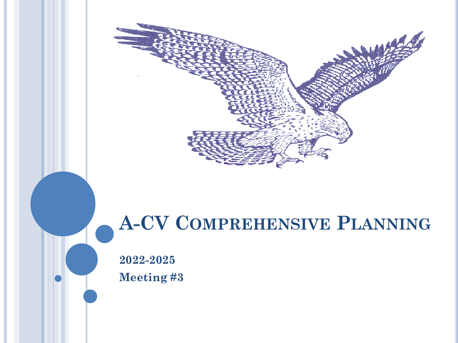

### **A-CV COMPREHENSIVE PLANNING**

**2022-2025 Meeting #3**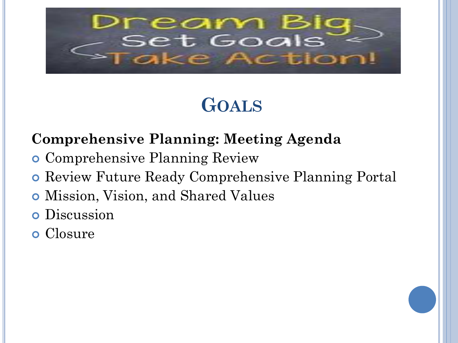

### **GOALS**

#### **Comprehensive Planning: Meeting Agenda**

- Comprehensive Planning Review
- **o** Review Future Ready Comprehensive Planning Portal
- Mission, Vision, and Shared Values
- **o** Discussion
- Closure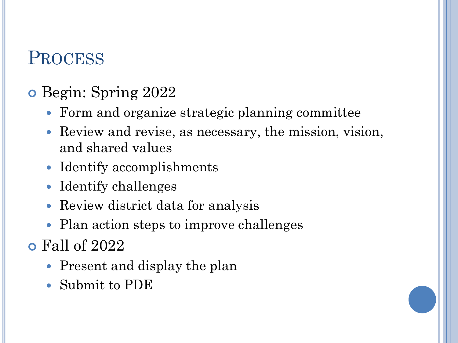#### **PROCESS**

#### Begin: Spring 2022

- Form and organize strategic planning committee
- Review and revise, as necessary, the mission, vision, and shared values
- Identify accomplishments
- Identify challenges
- Review district data for analysis
- Plan action steps to improve challenges
- Fall of 2022
	- Present and display the plan
	- Submit to PDE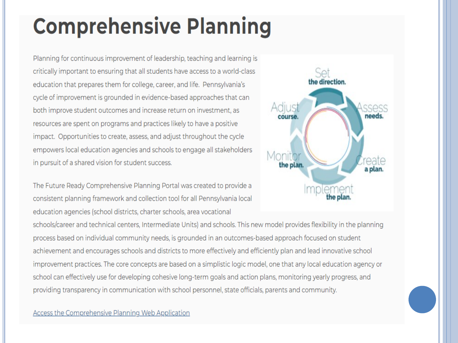## **Comprehensive Planning**

Planning for continuous improvement of leadership, teaching and learning is critically important to ensuring that all students have access to a world-class education that prepares them for college, career, and life. Pennsylvania's cycle of improvement is grounded in evidence-based approaches that can both improve student outcomes and increase return on investment, as resources are spent on programs and practices likely to have a positive impact. Opportunities to create, assess, and adjust throughout the cycle empowers local education agencies and schools to engage all stakeholders in pursuit of a shared vision for student success.

The Future Ready Comprehensive Planning Portal was created to provide a consistent planning framework and collection tool for all Pennsylvania local education agencies (school districts, charter schools, area vocational



schools/career and technical centers, Intermediate Units) and schools. This new model provides flexibility in the planning process based on individual community needs, is grounded in an outcomes-based approach focused on student achievement and encourages schools and districts to more effectively and efficiently plan and lead innovative school improvement practices. The core concepts are based on a simplistic logic model, one that any local education agency or school can effectively use for developing cohesive long-term goals and action plans, monitoring yearly progress, and providing transparency in communication with school personnel, state officials, parents and community.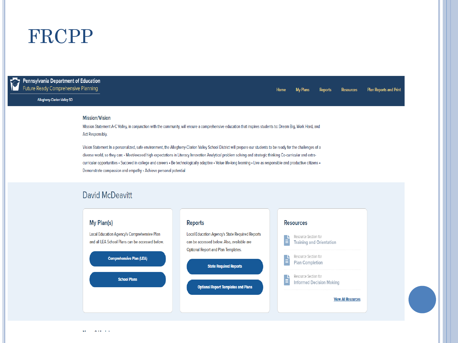#### FRCPP

**Pennsylvania Department of Education** Future Ready Comprehensive Planning

#### **Allegheny-Clarion Valley SD**

#### **Plan Reports and Print** Home **My Plans Reports Resources**

#### **Mission/Vision**

Mission Statement A-C Valley, in conjunction with the community, will ensure a comprehensive education that inspires students to: Dream Big, Work Hard, and **Act Responsibly.** 

Vision Statement In a personalized, safe environment, the Allegheny-Clarion Valley School District will prepare our students to be ready for the challenges of a diverse world, so they can: • Meet/exceed high expectations in Literacy Innovation Analytical problem solving and strategic thinking Co-curricular and extracurricular opportunities · Succeed in college and careers · Be technologically adaptive · Value life-long learning · Live as responsible and productive citizens · Demonstrate compassion and empathy . Achieve personal potential

#### **David McDeavitt**

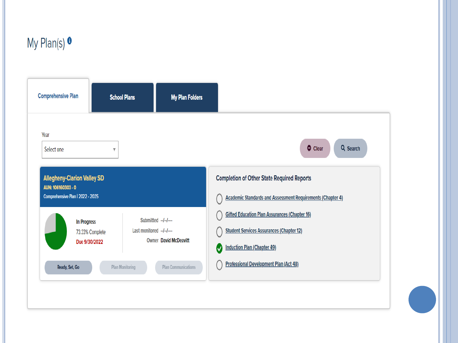

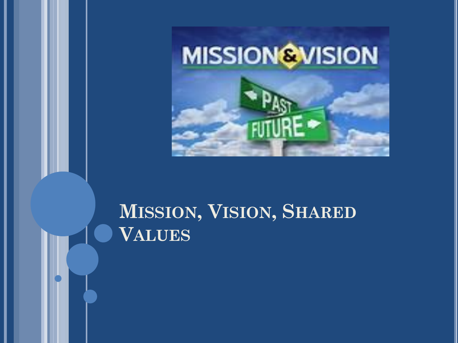

### MISSION, VISION, SHARED **VALUES**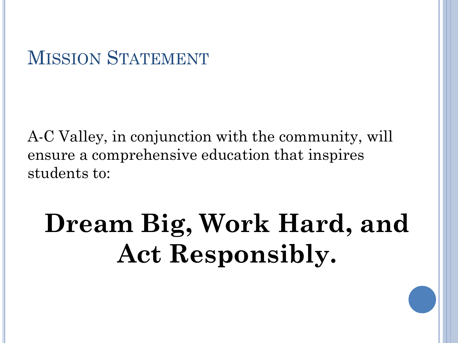#### MISSION STATEMENT

A-C Valley, in conjunction with the community, will ensure a comprehensive education that inspires students to:

# **Dream Big, Work Hard, and Act Responsibly.**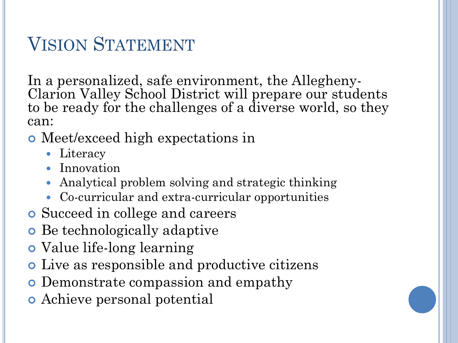### VISION STATEMENT

In a personalized, safe environment, the Allegheny-Clarion Valley School District will prepare our students to be ready for the challenges of a diverse world, so they can:

- Meet/exceed high expectations in
	- Literacy
	- Innovation
	- Analytical problem solving and strategic thinking
	- Co-curricular and extra-curricular opportunities
- Succeed in college and careers
- Be technologically adaptive
- Value life-long learning
- Live as responsible and productive citizens
- **o** Demonstrate compassion and empathy
- Achieve personal potential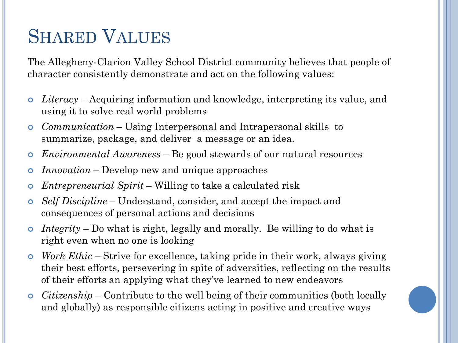#### SHARED VALUES

The Allegheny-Clarion Valley School District community believes that people of character consistently demonstrate and act on the following values:

- *Literacy*  Acquiring information and knowledge, interpreting its value, and using it to solve real world problems
- *Communication* Using Interpersonal and Intrapersonal skills to summarize, package, and deliver a message or an idea.
- *Environmental Awareness*  Be good stewards of our natural resources
- *Innovation* Develop new and unique approaches
- *Entrepreneurial Spirit*  Willing to take a calculated risk
- *Self Discipline*  Understand, consider, and accept the impact and consequences of personal actions and decisions
- *Integrity* Do what is right, legally and morally. Be willing to do what is right even when no one is looking
- *Work Ethic*  Strive for excellence, taking pride in their work, always giving their best efforts, persevering in spite of adversities, reflecting on the results of their efforts an applying what they've learned to new endeavors
- *Citizenship* Contribute to the well being of their communities (both locally and globally) as responsible citizens acting in positive and creative ways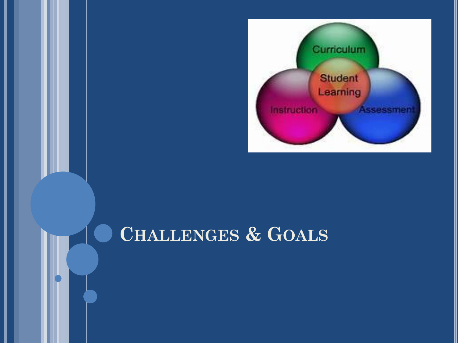

#### CHALLENGES & GOALS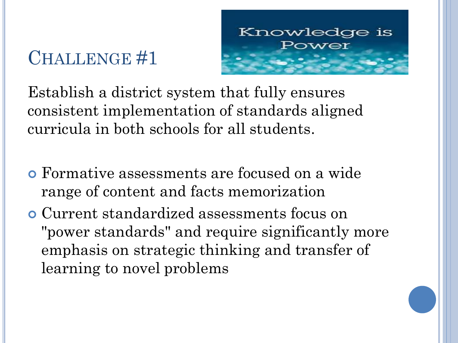

Establish a district system that fully ensures consistent implementation of standards aligned curricula in both schools for all students.

- Formative assessments are focused on a wide range of content and facts memorization
- Current standardized assessments focus on "power standards" and require significantly more emphasis on strategic thinking and transfer of learning to novel problems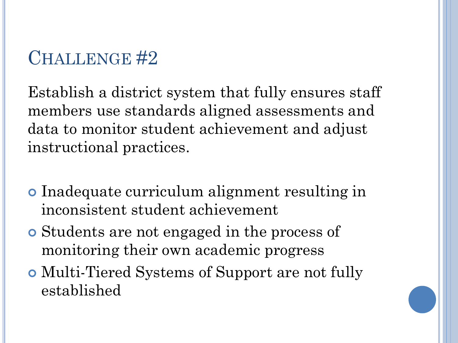Establish a district system that fully ensures staff members use standards aligned assessments and data to monitor student achievement and adjust instructional practices.

- Inadequate curriculum alignment resulting in inconsistent student achievement
- Students are not engaged in the process of monitoring their own academic progress
- Multi-Tiered Systems of Support are not fully established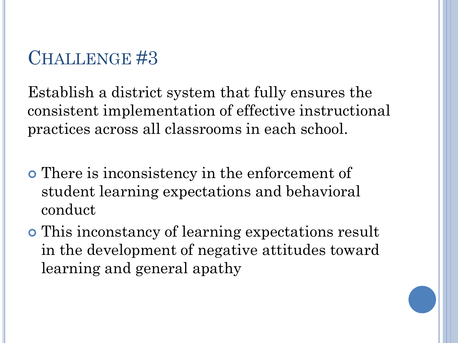Establish a district system that fully ensures the consistent implementation of effective instructional practices across all classrooms in each school.

- There is inconsistency in the enforcement of student learning expectations and behavioral conduct
- This inconstancy of learning expectations result in the development of negative attitudes toward learning and general apathy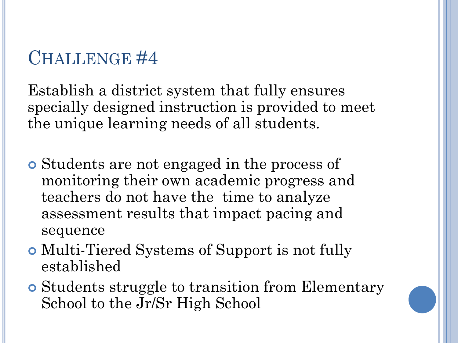Establish a district system that fully ensures specially designed instruction is provided to meet the unique learning needs of all students.

- Students are not engaged in the process of monitoring their own academic progress and teachers do not have the time to analyze assessment results that impact pacing and sequence
- Multi-Tiered Systems of Support is not fully established
- Students struggle to transition from Elementary School to the Jr/Sr High School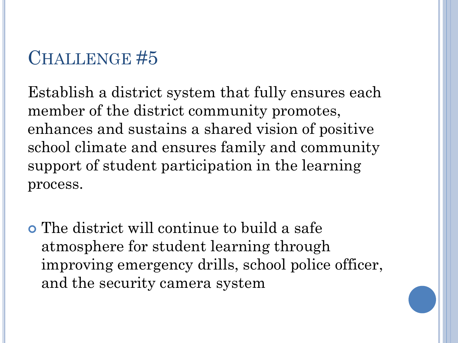Establish a district system that fully ensures each member of the district community promotes, enhances and sustains a shared vision of positive school climate and ensures family and community support of student participation in the learning process.

 The district will continue to build a safe atmosphere for student learning through improving emergency drills, school police officer, and the security camera system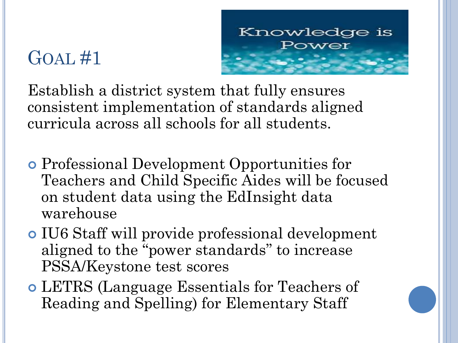

Establish a district system that fully ensures consistent implementation of standards aligned curricula across all schools for all students.

- Professional Development Opportunities for Teachers and Child Specific Aides will be focused on student data using the EdInsight data warehouse
- IU6 Staff will provide professional development aligned to the "power standards" to increase PSSA/Keystone test scores
- LETRS (Language Essentials for Teachers of Reading and Spelling) for Elementary Staff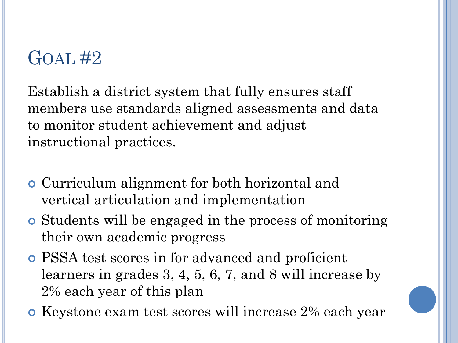Establish a district system that fully ensures staff members use standards aligned assessments and data to monitor student achievement and adjust instructional practices.

- Curriculum alignment for both horizontal and vertical articulation and implementation
- Students will be engaged in the process of monitoring their own academic progress
- PSSA test scores in for advanced and proficient learners in grades 3, 4, 5, 6, 7, and 8 will increase by 2% each year of this plan
- **o** Keystone exam test scores will increase 2% each year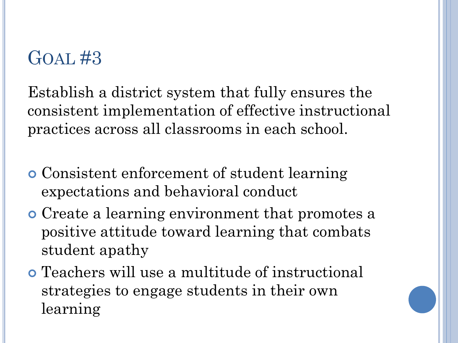Establish a district system that fully ensures the consistent implementation of effective instructional practices across all classrooms in each school.

- Consistent enforcement of student learning expectations and behavioral conduct
- Create a learning environment that promotes a positive attitude toward learning that combats student apathy
- Teachers will use a multitude of instructional strategies to engage students in their own learning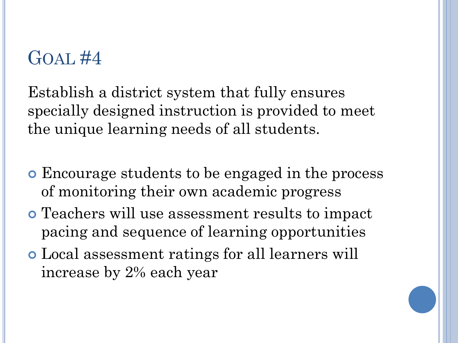Establish a district system that fully ensures specially designed instruction is provided to meet the unique learning needs of all students.

- Encourage students to be engaged in the process of monitoring their own academic progress
- Teachers will use assessment results to impact pacing and sequence of learning opportunities
- Local assessment ratings for all learners will increase by 2% each year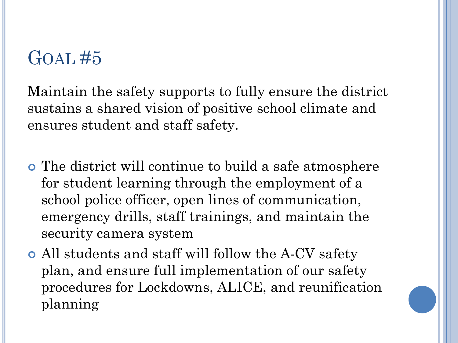Maintain the safety supports to fully ensure the district sustains a shared vision of positive school climate and ensures student and staff safety.

- The district will continue to build a safe atmosphere for student learning through the employment of a school police officer, open lines of communication, emergency drills, staff trainings, and maintain the security camera system
- All students and staff will follow the A-CV safety plan, and ensure full implementation of our safety procedures for Lockdowns, ALICE, and reunification planning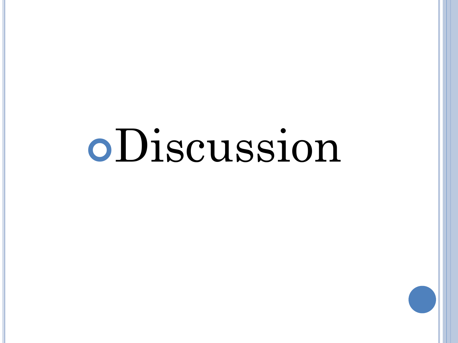# Discussion